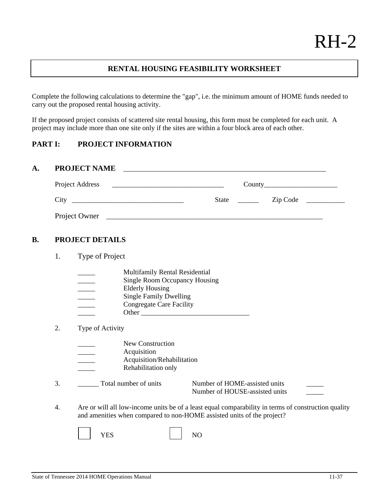# **RENTAL HOUSING FEASIBILITY WORKSHEET**

Complete the following calculations to determine the "gap", i.e. the minimum amount of HOME funds needed to carry out the proposed rental housing activity.

If the proposed project consists of scattered site rental housing, this form must be completed for each unit. A project may include more than one site only if the sites are within a four block area of each other.

# **PART I: PROJECT INFORMATION**

# **A. PROJECT NAME**

| Project Address | County                   |
|-----------------|--------------------------|
| City            | <b>State</b><br>Zip Code |
| Project Owner   |                          |

#### **B. PROJECT DETAILS**

1. Type of Project

|  | Multifamily Rental Residential |
|--|--------------------------------|
|--|--------------------------------|

| Single Room Occupancy Housing |
|-------------------------------|

- Elderly Housing
- \_\_\_\_\_\_ Single Family Dwelling<br>Congregate Care Facility
- Congregate Care Facility
	- \_\_\_\_\_ Other \_\_\_\_\_\_\_\_\_\_\_\_\_\_\_\_\_\_\_\_\_\_\_\_\_\_\_\_\_\_\_
- 2. Type of Activity
	- New Construction
	- Acquisition
	- \_\_\_\_\_ Acquisition/Rehabilitation
	- Rehabilitation only

3. \_\_\_\_\_\_\_\_\_ Total number of units Number of HOME-assisted units

Number of HOUSE-assisted units \_\_\_\_\_

 4. Are or will all low-income units be of a least equal comparability in terms of construction quality and amenities when compared to non-HOME assisted units of the project?

|  | $7T2$ $C1$<br>н<br>دن 1 |  | ◡<br>- |
|--|-------------------------|--|--------|
|--|-------------------------|--|--------|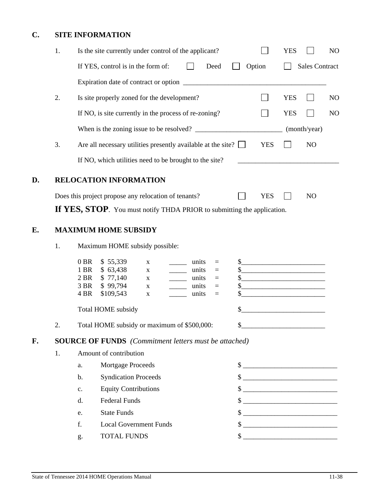# **C. SITE INFORMATION**

|    | 1. |                                        | Is the site currently under control of the applicant?                                  |                                 |                                                                                    |                                           |                                                          |                            |                                                                                                                                 | <b>YES</b> |                                     | NO             |
|----|----|----------------------------------------|----------------------------------------------------------------------------------------|---------------------------------|------------------------------------------------------------------------------------|-------------------------------------------|----------------------------------------------------------|----------------------------|---------------------------------------------------------------------------------------------------------------------------------|------------|-------------------------------------|----------------|
|    |    |                                        | If YES, control is in the form of:                                                     |                                 |                                                                                    |                                           | Deed                                                     |                            | Option                                                                                                                          |            | <b>Sales Contract</b>               |                |
|    |    |                                        |                                                                                        |                                 |                                                                                    |                                           |                                                          |                            |                                                                                                                                 |            |                                     |                |
|    | 2. |                                        | Is site properly zoned for the development?                                            |                                 |                                                                                    |                                           |                                                          |                            |                                                                                                                                 | <b>YES</b> |                                     | N <sub>O</sub> |
|    |    |                                        | If NO, is site currently in the process of re-zoning?                                  |                                 |                                                                                    |                                           |                                                          |                            |                                                                                                                                 | <b>YES</b> |                                     | N <sub>O</sub> |
|    |    |                                        |                                                                                        |                                 |                                                                                    |                                           |                                                          |                            |                                                                                                                                 |            | (month/year)                        |                |
|    | 3. |                                        | Are all necessary utilities presently available at the site? $\Box$                    |                                 |                                                                                    |                                           |                                                          |                            | <b>YES</b>                                                                                                                      |            | NO                                  |                |
|    |    |                                        | If NO, which utilities need to be brought to the site?                                 |                                 |                                                                                    |                                           |                                                          |                            |                                                                                                                                 |            |                                     |                |
|    |    |                                        |                                                                                        |                                 |                                                                                    |                                           |                                                          |                            |                                                                                                                                 |            |                                     |                |
| D. |    |                                        | RELOCATION INFORMATION                                                                 |                                 |                                                                                    |                                           |                                                          |                            |                                                                                                                                 |            |                                     |                |
|    |    |                                        | Does this project propose any relocation of tenants?                                   |                                 |                                                                                    |                                           |                                                          |                            | <b>YES</b>                                                                                                                      |            | N <sub>O</sub>                      |                |
|    |    |                                        | If YES, STOP. You must notify THDA PRIOR to submitting the application.                |                                 |                                                                                    |                                           |                                                          |                            |                                                                                                                                 |            |                                     |                |
| E. |    |                                        | <b>MAXIMUM HOME SUBSIDY</b>                                                            |                                 |                                                                                    |                                           |                                                          |                            |                                                                                                                                 |            |                                     |                |
|    | 1. |                                        | Maximum HOME subsidy possible:                                                         |                                 |                                                                                    |                                           |                                                          |                            |                                                                                                                                 |            |                                     |                |
|    |    | $0$ BR<br>1 BR<br>2 BR<br>3 BR<br>4 BR | \$55,339<br>\$63,438<br>\$77,140<br>\$99,794<br>\$109,543<br><b>Total HOME</b> subsidy | $\mathbf X$<br>X<br>X<br>X<br>X | $\overline{\phantom{a}}$<br>$\overline{\phantom{a}}$<br>$\mathcal{L}(\mathcal{L})$ | units<br>units<br>units<br>units<br>units | $\equiv$<br>$\equiv$<br>$\equiv$<br>$\equiv$<br>$\equiv$ | $\mathsf{S}_-$<br>\$<br>\$ | $\quad \  \  \, {\bf S} \underline{\hspace{1.5cm}} \hspace{1.5cm} \underline{\hspace{1.5cm}}$<br>$\frac{1}{2}$<br>$\frac{1}{2}$ |            | <u> 1980 - Jan Barbarat, manala</u> |                |
|    | 2. |                                        | Total HOME subsidy or maximum of \$500,000:                                            |                                 |                                                                                    |                                           |                                                          | \$                         |                                                                                                                                 |            |                                     |                |
| F. |    |                                        | <b>SOURCE OF FUNDS</b> (Commitment letters must be attached)                           |                                 |                                                                                    |                                           |                                                          |                            |                                                                                                                                 |            |                                     |                |
|    | 1. |                                        | Amount of contribution                                                                 |                                 |                                                                                    |                                           |                                                          |                            |                                                                                                                                 |            |                                     |                |
|    |    | a.                                     | Mortgage Proceeds                                                                      |                                 |                                                                                    |                                           |                                                          |                            |                                                                                                                                 |            |                                     |                |
|    |    | $\mathbf b$ .                          | <b>Syndication Proceeds</b>                                                            |                                 |                                                                                    |                                           |                                                          |                            |                                                                                                                                 |            |                                     |                |
|    |    | $\mathbf{c}$ .                         | <b>Equity Contributions</b>                                                            |                                 |                                                                                    |                                           |                                                          |                            | $\frac{\text{S}}{\text{S}}$                                                                                                     |            |                                     |                |
|    |    | $d_{\cdot}$                            | <b>Federal Funds</b>                                                                   |                                 |                                                                                    |                                           |                                                          |                            | $\frac{\text{S}}{\text{S}}$                                                                                                     |            |                                     |                |
|    |    | e.                                     | <b>State Funds</b>                                                                     |                                 |                                                                                    |                                           |                                                          |                            |                                                                                                                                 |            |                                     |                |
|    |    | f.                                     | <b>Local Government Funds</b>                                                          |                                 |                                                                                    |                                           |                                                          |                            | $\frac{1}{2}$                                                                                                                   |            |                                     |                |
|    |    | g.                                     | <b>TOTAL FUNDS</b>                                                                     |                                 |                                                                                    |                                           |                                                          |                            | $\frac{1}{2}$                                                                                                                   |            |                                     |                |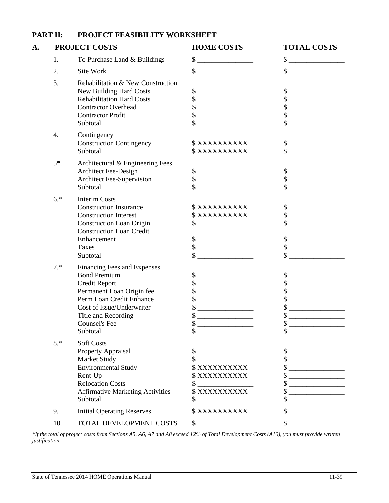|    | PART II: | PROJECT FEASIBILITY WORKSHEET                                                                                                                                                                                        |                                                                                                                                                                                                                                                                                                                                                                                                                                |                                                                                                                                                                                                                                                                                                                                                                                                                                                                                                                                                                                                                                                                                                                                                                                                                               |
|----|----------|----------------------------------------------------------------------------------------------------------------------------------------------------------------------------------------------------------------------|--------------------------------------------------------------------------------------------------------------------------------------------------------------------------------------------------------------------------------------------------------------------------------------------------------------------------------------------------------------------------------------------------------------------------------|-------------------------------------------------------------------------------------------------------------------------------------------------------------------------------------------------------------------------------------------------------------------------------------------------------------------------------------------------------------------------------------------------------------------------------------------------------------------------------------------------------------------------------------------------------------------------------------------------------------------------------------------------------------------------------------------------------------------------------------------------------------------------------------------------------------------------------|
| A. |          | <b>PROJECT COSTS</b>                                                                                                                                                                                                 | <b>HOME COSTS</b>                                                                                                                                                                                                                                                                                                                                                                                                              | <b>TOTAL COSTS</b>                                                                                                                                                                                                                                                                                                                                                                                                                                                                                                                                                                                                                                                                                                                                                                                                            |
|    | 1.       | To Purchase Land & Buildings                                                                                                                                                                                         | $\begin{picture}(20,10) \put(0,0){\vector(1,0){100}} \put(15,0){\vector(1,0){100}} \put(15,0){\vector(1,0){100}} \put(15,0){\vector(1,0){100}} \put(15,0){\vector(1,0){100}} \put(15,0){\vector(1,0){100}} \put(15,0){\vector(1,0){100}} \put(15,0){\vector(1,0){100}} \put(15,0){\vector(1,0){100}} \put(15,0){\vector(1,0){100}} \put(15,0){\vector(1,0){100}} \$                                                            | $\frac{\text{S}}{\text{S}}$                                                                                                                                                                                                                                                                                                                                                                                                                                                                                                                                                                                                                                                                                                                                                                                                   |
|    | 2.       | Site Work                                                                                                                                                                                                            | $\frac{\text{S}}{\text{S}}$                                                                                                                                                                                                                                                                                                                                                                                                    | $\sim$                                                                                                                                                                                                                                                                                                                                                                                                                                                                                                                                                                                                                                                                                                                                                                                                                        |
|    | 3.       | Rehabilitation & New Construction<br>New Building Hard Costs<br><b>Rehabilitation Hard Costs</b><br><b>Contractor Overhead</b><br><b>Contractor Profit</b><br>Subtotal                                               | $\qquad \qquad \bullet$<br>\$<br><u> 1989 - Jan James James Barnett, fransk politik (</u><br>\$<br>\$                                                                                                                                                                                                                                                                                                                          | $\qquad \qquad \bullet$<br>$\qquad \qquad \text{\normalsize $s$} \underline{\qquad \qquad }$<br>$\qquad \qquad \, \text{\bf $s$}\; \underline{\hspace{10mm}} \qquad \qquad \, \text{\bf $s$}\; \underline{\hspace{15mm}}$<br>$\qquad \qquad \, \text{\bf $s$}\; \underline{\hspace{10mm}} \qquad \qquad \, \text{\bf $s$}\; \underline{\hspace{15mm}} \qquad \qquad \  \, \text{\bf $s$}\; \underline{\hspace{15mm}} \qquad \qquad \  \, \text{\bf $s$}\; \underline{\hspace{15mm}} \qquad \qquad \  \, \text{\bf $s$}\; \underline{\hspace{15mm}} \qquad \qquad \  \, \text{\bf $s$}\; \underline{\hspace{15mm}} \qquad \qquad \  \, \text{\bf $s$}\; \underline{\hspace{15mm}} \qquad \qquad \  \, \text{\bf $s$}\; \underline$                                                                                             |
|    | 4.       | Contingency<br><b>Construction Contingency</b><br>Subtotal                                                                                                                                                           | \$XXXXXXXXXX<br>\$XXXXXXXXXX                                                                                                                                                                                                                                                                                                                                                                                                   | $\qquad \qquad \, \textcolor{red}{\textbf{\$}}\textcolor{red}{\textbf{\_}}$<br>$\sim$                                                                                                                                                                                                                                                                                                                                                                                                                                                                                                                                                                                                                                                                                                                                         |
|    | $5^*$ .  | Architectural & Engineering Fees<br>Architect Fee-Design<br>Architect Fee-Supervision<br>Subtotal                                                                                                                    | $\begin{picture}(20,10) \put(0,0){\vector(1,0){100}} \put(15,0){\vector(1,0){100}} \put(15,0){\vector(1,0){100}} \put(15,0){\vector(1,0){100}} \put(15,0){\vector(1,0){100}} \put(15,0){\vector(1,0){100}} \put(15,0){\vector(1,0){100}} \put(15,0){\vector(1,0){100}} \put(15,0){\vector(1,0){100}} \put(15,0){\vector(1,0){100}} \put(15,0){\vector(1,0){100}} \$<br>\$<br>\$                                                | $\qquad \qquad \, \text{\bf $s$}\; \underline{\hspace{10mm}} \qquad \qquad \, \text{\bf $s$}\; \underline{\hspace{15mm}}$<br>$\qquad \qquad \, \text{\bf $s$} \underline{\hspace{10mm}}$                                                                                                                                                                                                                                                                                                                                                                                                                                                                                                                                                                                                                                      |
|    | $6.*$    | <b>Interim Costs</b><br><b>Construction Insurance</b><br><b>Construction Interest</b><br><b>Construction Loan Origin</b><br><b>Construction Loan Credit</b><br>Enhancement<br>Taxes<br>Subtotal                      | \$XXXXXXXXXX<br>\$XXXXXXXXXX<br>\$<br>$\qquad \qquad \text{\normalsize $s$} \underline{\qquad \qquad \qquad }$<br>$\qquad \qquad \, \textcolor{red}{\textbf{\$}}\textcolor{red}{\textbf{\_}}$<br>\$                                                                                                                                                                                                                            | $\frac{1}{2}$<br>$\qquad \qquad \, \text{\bf $s$}\; \underline{\hspace{10mm}} \qquad \qquad \, \text{\bf $s$}\; \underline{\hspace{15mm}}$<br>$\sim$<br>$\frac{\text{S}}{\text{S}}$<br>\$                                                                                                                                                                                                                                                                                                                                                                                                                                                                                                                                                                                                                                     |
|    | $7.*$    | Financing Fees and Expenses<br><b>Bond Premium</b><br>Credit Report<br>Permanent Loan Origin fee<br>Perm Loan Credit Enhance<br>Cost of Issue/Underwriter<br>Title and Recording<br><b>Counsel's Fee</b><br>Subtotal | $\begin{picture}(20,20) \put(0,0){\line(1,0){100}} \put(15,0){\line(1,0){100}} \put(15,0){\line(1,0){100}} \put(15,0){\line(1,0){100}} \put(15,0){\line(1,0){100}} \put(15,0){\line(1,0){100}} \put(15,0){\line(1,0){100}} \put(15,0){\line(1,0){100}} \put(15,0){\line(1,0){100}} \put(15,0){\line(1,0){100}} \put(15,0){\line(1,0){100}} \$<br>\$<br>\$<br>Φ<br>the control of the control of the control of the<br>\$<br>\$ | $\frac{1}{1}$<br>$\qquad \qquad \, \text{\bf \$} \text{\bf \underline{---}} \text{\bf \underline{---}} \text{\bf \underline{---}} \text{\bf \underline{---}} \text{\bf \underline{---}} \text{\bf \underline{---}} \text{\bf \underline{---}} \text{\bf \underline{---}} \text{\bf \underline{---}} \text{\bf \underline{---}} \text{\bf \underline{---}} \text{\bf \underline{---}} \text{\bf \underline{---}} \text{\bf \underline{---}} \text{\bf \underline{---}} \text{\bf \underline{---}} \text{\bf \underline{---}} \text{\bf \underline{---}} \text{\bf \underline{---}} \text{\bf \underline{---}} \text{\bf \underline{---}} \text{\bf \underline{---}} \text{\bf \underline{---$<br>Φ<br><u> 1989 - Johann Barbara, martin a</u><br>$\mathcal{S}_{-}$<br><u> 1989 - Johann Barbara, martin amerikan per</u><br>\$ |
|    | $8.*$    | <b>Soft Costs</b><br>Property Appraisal<br>Market Study<br><b>Environmental Study</b><br>Rent-Up<br><b>Relocation Costs</b><br><b>Affirmative Marketing Activities</b><br>Subtotal                                   | \$<br>\$XXXXXXXXXX<br>\$XXXXXXXXXX<br>\$<br>\$XXXXXXXXXX<br>\$                                                                                                                                                                                                                                                                                                                                                                 | $\qquad \qquad \bullet$<br><u> 1989 - Johann Barbara, martin a</u><br>\$                                                                                                                                                                                                                                                                                                                                                                                                                                                                                                                                                                                                                                                                                                                                                      |
|    | 9.       | <b>Initial Operating Reserves</b>                                                                                                                                                                                    | \$XXXXXXXXXX                                                                                                                                                                                                                                                                                                                                                                                                                   | \$                                                                                                                                                                                                                                                                                                                                                                                                                                                                                                                                                                                                                                                                                                                                                                                                                            |
|    | 10.      | TOTAL DEVELOPMENT COSTS                                                                                                                                                                                              | $\frac{1}{2}$                                                                                                                                                                                                                                                                                                                                                                                                                  | \$                                                                                                                                                                                                                                                                                                                                                                                                                                                                                                                                                                                                                                                                                                                                                                                                                            |

*\*If the total of project costs from Sections A5, A6, A7 and A8 exceed 12% of Total Development Costs (A10), you must provide written justification.*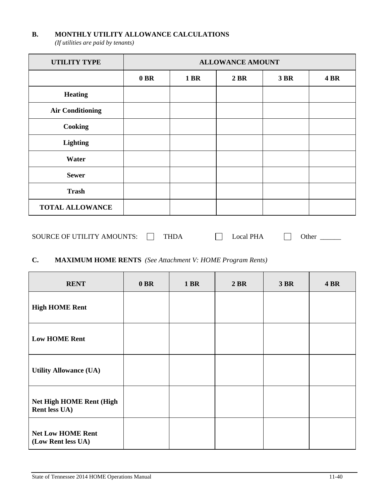#### **B. MONTHLY UTILITY ALLOWANCE CALCULATIONS**

*(If utilities are paid by tenants)* 

| <b>UTILITY TYPE</b>     | <b>ALLOWANCE AMOUNT</b> |             |      |             |             |
|-------------------------|-------------------------|-------------|------|-------------|-------------|
|                         | $0$ BR                  | <b>1 BR</b> | 2 BR | <b>3 BR</b> | <b>4 BR</b> |
| <b>Heating</b>          |                         |             |      |             |             |
| <b>Air Conditioning</b> |                         |             |      |             |             |
| Cooking                 |                         |             |      |             |             |
| Lighting                |                         |             |      |             |             |
| Water                   |                         |             |      |             |             |
| <b>Sewer</b>            |                         |             |      |             |             |
| <b>Trash</b>            |                         |             |      |             |             |
| <b>TOTAL ALLOWANCE</b>  |                         |             |      |             |             |

| <b>SOURCE OF UTILITY AMOUNTS:</b> |  |  |  | ocal PHA | Jther |
|-----------------------------------|--|--|--|----------|-------|
|-----------------------------------|--|--|--|----------|-------|

# **C. MAXIMUM HOME RENTS** *(See Attachment V: HOME Program Rents)*

| <b>RENT</b>                                      | $0$ BR | <b>1 BR</b> | 2 BR | 3 BR | <b>4 BR</b> |
|--------------------------------------------------|--------|-------------|------|------|-------------|
| <b>High HOME Rent</b>                            |        |             |      |      |             |
| <b>Low HOME Rent</b>                             |        |             |      |      |             |
| <b>Utility Allowance (UA)</b>                    |        |             |      |      |             |
| <b>Net High HOME Rent (High</b><br>Rent less UA) |        |             |      |      |             |
| <b>Net Low HOME Rent</b><br>(Low Rent less UA)   |        |             |      |      |             |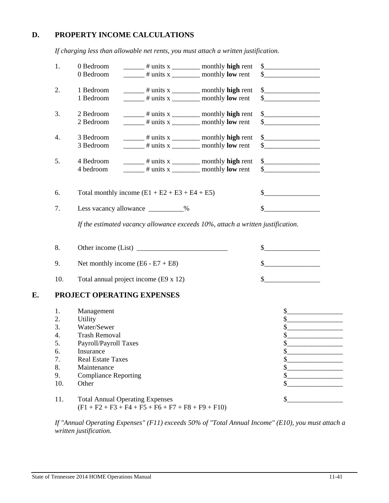# **D. PROPERTY INCOME CALCULATIONS**

 *If charging less than allowable net rents, you must attach a written justification.* 

|    | 1.  | 0 Bedroom<br>$\frac{1}{2}$ # units x ____________ monthly high rent                                          | $\begin{picture}(20,10) \put(0,0){\line(1,0){10}} \put(15,0){\line(1,0){10}} \put(15,0){\line(1,0){10}} \put(15,0){\line(1,0){10}} \put(15,0){\line(1,0){10}} \put(15,0){\line(1,0){10}} \put(15,0){\line(1,0){10}} \put(15,0){\line(1,0){10}} \put(15,0){\line(1,0){10}} \put(15,0){\line(1,0){10}} \put(15,0){\line(1,0){10}} \put(15,0){\line(1$                                                                                                                                                              |
|----|-----|--------------------------------------------------------------------------------------------------------------|------------------------------------------------------------------------------------------------------------------------------------------------------------------------------------------------------------------------------------------------------------------------------------------------------------------------------------------------------------------------------------------------------------------------------------------------------------------------------------------------------------------|
|    |     | 0 Bedroom                                                                                                    | $\sim$                                                                                                                                                                                                                                                                                                                                                                                                                                                                                                           |
|    |     |                                                                                                              |                                                                                                                                                                                                                                                                                                                                                                                                                                                                                                                  |
|    | 2.  | 1 Bedroom                                                                                                    | $\begin{array}{c} \n \text{\bf 5} \quad \text{\bf \textcolor{red}{\bf 1} \quad \textcolor{red}{\bf 2} \quad \textcolor{red}{\bf 5} \quad \textcolor{red}{\bf 6} \quad \textcolor{red}{\bf 7} \quad \textcolor{red}{\bf 8} \quad \textcolor{red}{\bf 9} \quad \textcolor{red}{\bf 1} \quad \textcolor{red}{\bf 1} \quad \textcolor{red}{\bf 1} \quad \textcolor{red}{\bf 1} \quad \textcolor{red}{\bf 1} \quad \textcolor{red}{\bf 1} \quad \textcolor{red}{\bf 1} \quad \textcolor{red}{\bf 1} \quad \textcolor$ |
|    |     | 1 Bedroom                                                                                                    | $\sim$                                                                                                                                                                                                                                                                                                                                                                                                                                                                                                           |
|    |     |                                                                                                              |                                                                                                                                                                                                                                                                                                                                                                                                                                                                                                                  |
|    | 3.  | 2 Bedroom<br>$\frac{1}{\sqrt{1-\frac{1}{\pi}}}\$ = $\frac{1}{\pi}$ units x $\frac{1}{\pi}$ monthly high rent | $\frac{1}{2}$                                                                                                                                                                                                                                                                                                                                                                                                                                                                                                    |
|    |     | 2 Bedroom<br>$\frac{1}{2}$ # units x ___________ monthly <b>low</b> rent                                     | $\sim$                                                                                                                                                                                                                                                                                                                                                                                                                                                                                                           |
|    |     |                                                                                                              |                                                                                                                                                                                                                                                                                                                                                                                                                                                                                                                  |
|    | 4.  | 3 Bedroom<br>$\frac{1}{2}$ # units x $\frac{1}{2}$ monthly high rent                                         | $\frac{1}{2}$                                                                                                                                                                                                                                                                                                                                                                                                                                                                                                    |
|    |     | 3 Bedroom<br>$\frac{1}{2}$ # units x ___________ monthly <b>low</b> rent                                     | $\frac{\text{S}}{\text{S}}$                                                                                                                                                                                                                                                                                                                                                                                                                                                                                      |
|    |     |                                                                                                              |                                                                                                                                                                                                                                                                                                                                                                                                                                                                                                                  |
|    | 5.  | 4 Bedroom<br>$\frac{1}{2}$ # units x ___________ monthly high rent                                           | $\begin{picture}(20,10) \put(0,0){\line(1,0){10}} \put(15,0){\line(1,0){10}} \put(15,0){\line(1,0){10}} \put(15,0){\line(1,0){10}} \put(15,0){\line(1,0){10}} \put(15,0){\line(1,0){10}} \put(15,0){\line(1,0){10}} \put(15,0){\line(1,0){10}} \put(15,0){\line(1,0){10}} \put(15,0){\line(1,0){10}} \put(15,0){\line(1,0){10}} \put(15,0){\line(1$                                                                                                                                                              |
|    |     | 4 bedroom<br>$\frac{1}{2}$ # units x ___________ monthly low rent                                            | $\begin{array}{c c c c c} \hline \textbf{S} & \textbf{S} & \textbf{S} & \textbf{S} & \textbf{S} \\ \hline \end{array}$                                                                                                                                                                                                                                                                                                                                                                                           |
|    |     |                                                                                                              |                                                                                                                                                                                                                                                                                                                                                                                                                                                                                                                  |
|    |     |                                                                                                              |                                                                                                                                                                                                                                                                                                                                                                                                                                                                                                                  |
|    | 6.  | Total monthly income $(E1 + E2 + E3 + E4 + E5)$                                                              | $\sim$                                                                                                                                                                                                                                                                                                                                                                                                                                                                                                           |
|    |     |                                                                                                              |                                                                                                                                                                                                                                                                                                                                                                                                                                                                                                                  |
|    | 7.  | Less vacancy allowance __________%                                                                           | $\sim$                                                                                                                                                                                                                                                                                                                                                                                                                                                                                                           |
|    |     |                                                                                                              |                                                                                                                                                                                                                                                                                                                                                                                                                                                                                                                  |
|    |     | If the estimated vacancy allowance exceeds $10\%$ , attach a written justification.                          |                                                                                                                                                                                                                                                                                                                                                                                                                                                                                                                  |
|    |     |                                                                                                              |                                                                                                                                                                                                                                                                                                                                                                                                                                                                                                                  |
|    |     |                                                                                                              |                                                                                                                                                                                                                                                                                                                                                                                                                                                                                                                  |
|    | 8.  | Other income (List)                                                                                          | $\sim$                                                                                                                                                                                                                                                                                                                                                                                                                                                                                                           |
|    | 9.  | Net monthly income $(E6 - E7 + E8)$                                                                          | $\sim$                                                                                                                                                                                                                                                                                                                                                                                                                                                                                                           |
|    |     |                                                                                                              |                                                                                                                                                                                                                                                                                                                                                                                                                                                                                                                  |
|    | 10. | Total annual project income (E9 x 12)                                                                        | $\sim$                                                                                                                                                                                                                                                                                                                                                                                                                                                                                                           |
|    |     |                                                                                                              |                                                                                                                                                                                                                                                                                                                                                                                                                                                                                                                  |
| E. |     | PROJECT OPERATING EXPENSES                                                                                   |                                                                                                                                                                                                                                                                                                                                                                                                                                                                                                                  |
|    |     |                                                                                                              |                                                                                                                                                                                                                                                                                                                                                                                                                                                                                                                  |
|    | 1.  | Management                                                                                                   | \$<br><u> 1986 - Jan Bernard Barbarat III (b. 19</u>                                                                                                                                                                                                                                                                                                                                                                                                                                                             |
|    | 2.  | <b>Utility</b>                                                                                               | $\mathbb{S}$<br><u> 1989 - Johann Barn, mars ar breithinn ar breithinn ar breithinn ar breithinn ar breithinn ar breithinn ar br</u>                                                                                                                                                                                                                                                                                                                                                                             |
|    | 3.  | Water/Sewer                                                                                                  | \$                                                                                                                                                                                                                                                                                                                                                                                                                                                                                                               |
|    | 4.  | <b>Trash Removal</b>                                                                                         | \$.                                                                                                                                                                                                                                                                                                                                                                                                                                                                                                              |
|    | 5.  | Payroll/Payroll Taxes                                                                                        | \$                                                                                                                                                                                                                                                                                                                                                                                                                                                                                                               |
|    | 6.  | Insurance                                                                                                    | \$                                                                                                                                                                                                                                                                                                                                                                                                                                                                                                               |
|    | 7.  | <b>Real Estate Taxes</b>                                                                                     | \$                                                                                                                                                                                                                                                                                                                                                                                                                                                                                                               |
|    | 8.  | Maintenance                                                                                                  | \$                                                                                                                                                                                                                                                                                                                                                                                                                                                                                                               |
|    | 9.  | <b>Compliance Reporting</b>                                                                                  | \$.                                                                                                                                                                                                                                                                                                                                                                                                                                                                                                              |
|    | 10. | Other                                                                                                        | \$                                                                                                                                                                                                                                                                                                                                                                                                                                                                                                               |
|    |     |                                                                                                              |                                                                                                                                                                                                                                                                                                                                                                                                                                                                                                                  |
|    |     |                                                                                                              |                                                                                                                                                                                                                                                                                                                                                                                                                                                                                                                  |
|    | 11. | <b>Total Annual Operating Expenses</b>                                                                       | \$                                                                                                                                                                                                                                                                                                                                                                                                                                                                                                               |

 *If "Annual Operating Expenses" (F11) exceeds 50% of "Total Annual Income" (E10), you must attach a written justification.* 

 $(F1 + F2 + F3 + F4 + F5 + F6 + F7 + F8 + F9 + F10)$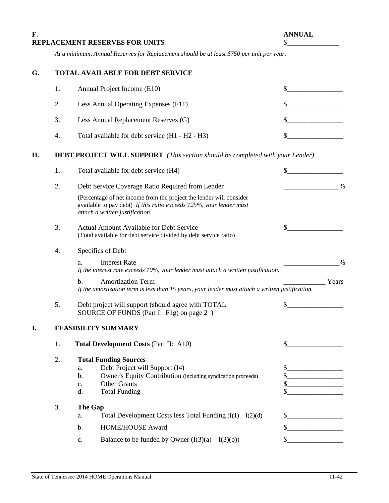# **F. ANNUAL REPLACEMENT RESERVES FOR UNITS**  $\$

 *At a minimum, Annual Reserves for Replacement should be at least \$750 per unit per year.* 

# **G. TOTAL AVAILABLE FOR DEBT SERVICE**

| 1. | Annual Project Income (E10)                     |  |
|----|-------------------------------------------------|--|
| 2. | Less Annual Operating Expenses (F11)            |  |
| 3. | Less Annual Replacement Reserves (G)            |  |
| 4. | Total available for debt service (H1 - H2 - H3) |  |

# **H. DEBT PROJECT WILL SUPPORT** *(This section should be completed with your Lender)*

|    | 1. | Total available for debt service (H4)                                                                                                                                                                                         | \$                                                     |
|----|----|-------------------------------------------------------------------------------------------------------------------------------------------------------------------------------------------------------------------------------|--------------------------------------------------------|
|    | 2. | Debt Service Coverage Ratio Required from Lender                                                                                                                                                                              | $\%$                                                   |
|    |    | (Percentage of net income from the project the lender will consider<br>available to pay debt) If this ratio exceeds 125%, your lender must<br>attach a written justification.                                                 |                                                        |
|    | 3. | <b>Actual Amount Available for Debt Service</b><br>(Total available for debt service divided by debt service ratio)                                                                                                           | \$                                                     |
|    | 4. | Specifics of Debt                                                                                                                                                                                                             |                                                        |
|    |    | <b>Interest Rate</b><br>a.<br>If the interest rate exceeds 10%, your lender must attach a written justification.                                                                                                              | $\frac{0}{0}$                                          |
|    |    | <b>Amortization Term</b><br>b.<br>If the amortization term is less than 15 years, your lender must attach a written justification.                                                                                            | Years                                                  |
|    | 5. | Debt project will support (should agree with TOTAL<br>SOURCE OF FUNDS (Part I: F1g) on page 2)                                                                                                                                |                                                        |
| I. |    | <b>FEASIBILITY SUMMARY</b>                                                                                                                                                                                                    |                                                        |
|    | 1. | <b>Total Development Costs (Part II: A10)</b>                                                                                                                                                                                 | \$                                                     |
|    | 2. | <b>Total Funding Sources</b><br>Debt Project will Support (I4)<br>a.<br>Owner's Equity Contribution (including syndication proceeds)<br>$\mathbf{b}$ .<br><b>Other Grants</b><br>c.<br><b>Total Funding</b><br>$\mathbf{d}$ . | $\boldsymbol{\mathsf{S}}$<br>$\mathcal{S}$<br>\$<br>\$ |
|    | 3. | The Gap                                                                                                                                                                                                                       |                                                        |
|    |    | Total Development Costs less Total Funding $(I(1) - I(2)(d))$<br>a.                                                                                                                                                           | \$                                                     |
|    |    | HOME/HOUSE Award<br>$\mathbf b$ .                                                                                                                                                                                             | \$                                                     |
|    |    | Balance to be funded by Owner $(I(3)(a) – I(3)(b))$<br>c.                                                                                                                                                                     | \$                                                     |